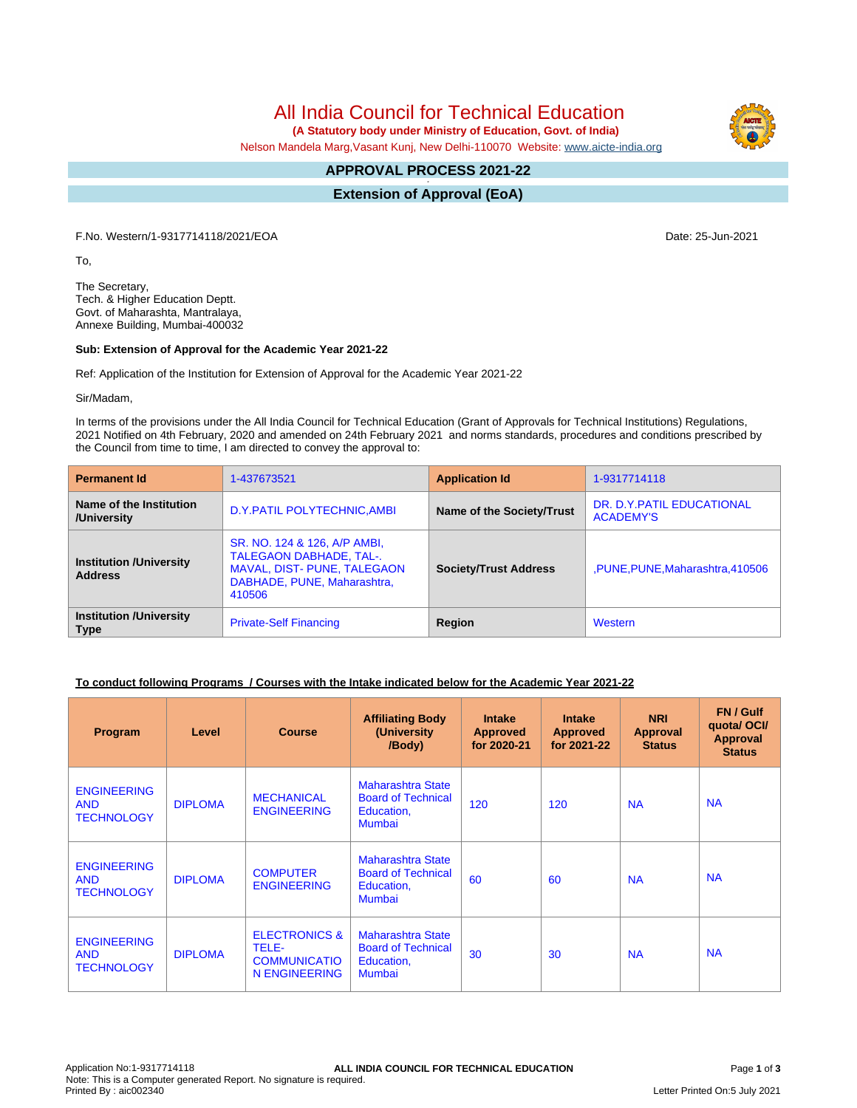All India Council for Technical Education

 **(A Statutory body under Ministry of Education, Govt. of India)**

Nelson Mandela Marg,Vasant Kunj, New Delhi-110070 Website: [www.aicte-india.org](http://www.aicte-india.org)

#### **APPROVAL PROCESS 2021-22 -**

**Extension of Approval (EoA)**

F.No. Western/1-9317714118/2021/EOA Date: 25-Jun-2021

To,

The Secretary, Tech. & Higher Education Deptt. Govt. of Maharashta, Mantralaya, Annexe Building, Mumbai-400032

#### **Sub: Extension of Approval for the Academic Year 2021-22**

Ref: Application of the Institution for Extension of Approval for the Academic Year 2021-22

Sir/Madam,

In terms of the provisions under the All India Council for Technical Education (Grant of Approvals for Technical Institutions) Regulations, 2021 Notified on 4th February, 2020 and amended on 24th February 2021 and norms standards, procedures and conditions prescribed by the Council from time to time, I am directed to convey the approval to:

| <b>Permanent Id</b>                              | 1-437673521                                                                                                                                   | <b>Application Id</b>        | 1-9317714118                                   |  |
|--------------------------------------------------|-----------------------------------------------------------------------------------------------------------------------------------------------|------------------------------|------------------------------------------------|--|
| Name of the Institution<br>/University           | D.Y. PATIL POLYTECHNIC, AMBI                                                                                                                  | Name of the Society/Trust    | DR. D.Y. PATIL EDUCATIONAL<br><b>ACADEMY'S</b> |  |
| <b>Institution /University</b><br><b>Address</b> | SR. NO. 124 & 126, A/P AMBI,<br><b>TALEGAON DABHADE, TAL-.</b><br><b>MAVAL, DIST- PUNE, TALEGAON</b><br>DABHADE, PUNE, Maharashtra,<br>410506 | <b>Society/Trust Address</b> | ,PUNE,PUNE,Maharashtra,410506                  |  |
| <b>Institution /University</b><br><b>Type</b>    | <b>Private-Self Financing</b>                                                                                                                 | Region                       | Western                                        |  |

## **To conduct following Programs / Courses with the Intake indicated below for the Academic Year 2021-22**

| Program                                               | Level          | <b>Course</b>                                                                    | <b>Affiliating Body</b><br>(University<br>/Body)                                     | <b>Intake</b><br><b>Approved</b><br>for 2020-21 | <b>Intake</b><br><b>Approved</b><br>for 2021-22 | <b>NRI</b><br><b>Approval</b><br><b>Status</b> | FN / Gulf<br>quota/OCI/<br><b>Approval</b><br><b>Status</b> |
|-------------------------------------------------------|----------------|----------------------------------------------------------------------------------|--------------------------------------------------------------------------------------|-------------------------------------------------|-------------------------------------------------|------------------------------------------------|-------------------------------------------------------------|
| <b>ENGINEERING</b><br><b>AND</b><br><b>TECHNOLOGY</b> | <b>DIPLOMA</b> | <b>MECHANICAL</b><br><b>ENGINEERING</b>                                          | Maharashtra State<br><b>Board of Technical</b><br>Education,<br>Mumbai               | 120                                             | 120                                             | <b>NA</b>                                      | <b>NA</b>                                                   |
| <b>ENGINEERING</b><br><b>AND</b><br><b>TECHNOLOGY</b> | <b>DIPLOMA</b> | <b>COMPUTER</b><br><b>ENGINEERING</b>                                            | Maharashtra State<br><b>Board of Technical</b><br>Education,<br><b>Mumbai</b>        | 60                                              | 60                                              | <b>NA</b>                                      | <b>NA</b>                                                   |
| <b>ENGINEERING</b><br><b>AND</b><br><b>TECHNOLOGY</b> | <b>DIPLOMA</b> | <b>ELECTRONICS &amp;</b><br>TELE-<br><b>COMMUNICATIO</b><br><b>N ENGINEERING</b> | <b>Maharashtra State</b><br><b>Board of Technical</b><br>Education,<br><b>Mumbai</b> | 30                                              | 30                                              | <b>NA</b>                                      | <b>NA</b>                                                   |

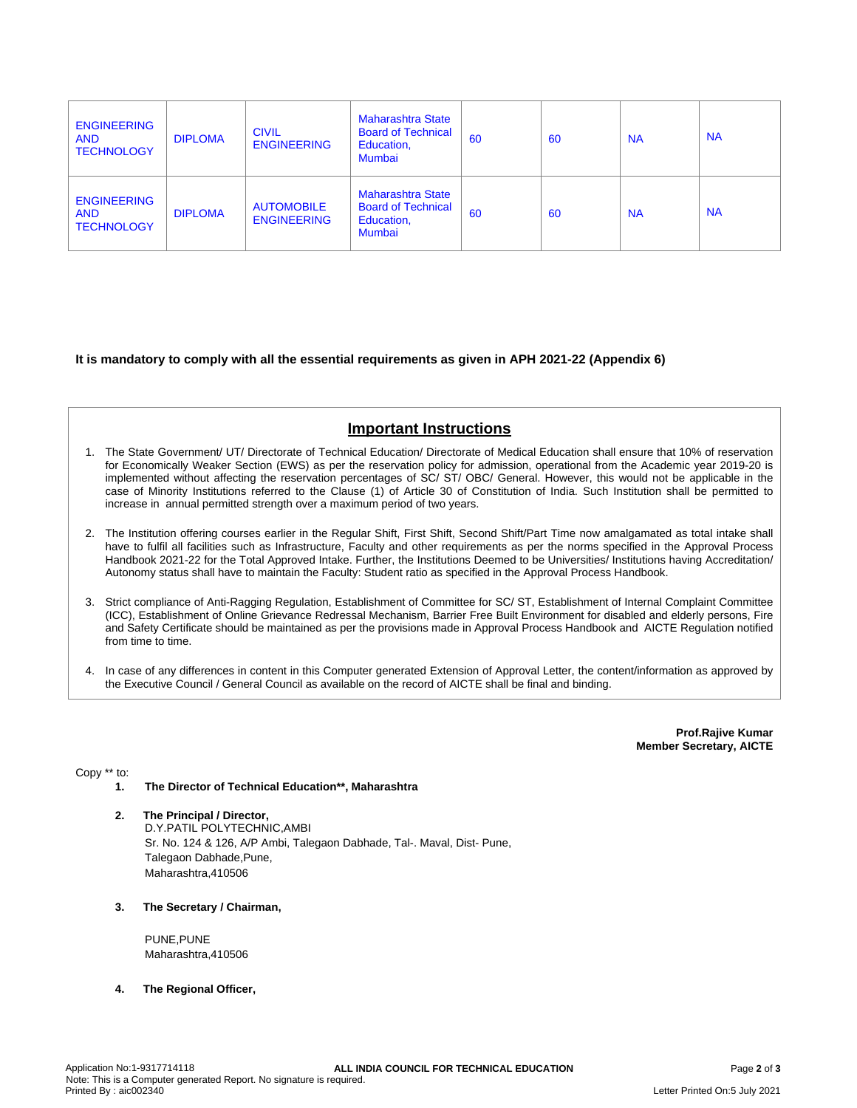| <b>ENGINEERING</b><br><b>AND</b><br><b>TECHNOLOGY</b> | <b>DIPLOMA</b> | <b>CIVIL</b><br><b>ENGINEERING</b>      | <b>Maharashtra State</b><br><b>Board of Technical</b><br>Education,<br><b>Mumbai</b> | 60 | 60 | <b>NA</b> | <b>NA</b> |
|-------------------------------------------------------|----------------|-----------------------------------------|--------------------------------------------------------------------------------------|----|----|-----------|-----------|
| <b>ENGINEERING</b><br><b>AND</b><br><b>TECHNOLOGY</b> | <b>DIPLOMA</b> | <b>AUTOMOBILE</b><br><b>ENGINEERING</b> | <b>Maharashtra State</b><br><b>Board of Technical</b><br>Education,<br><b>Mumbai</b> | 60 | 60 | <b>NA</b> | <b>NA</b> |

## **It is mandatory to comply with all the essential requirements as given in APH 2021-22 (Appendix 6)**

# **Important Instructions**

- 1. The State Government/ UT/ Directorate of Technical Education/ Directorate of Medical Education shall ensure that 10% of reservation for Economically Weaker Section (EWS) as per the reservation policy for admission, operational from the Academic year 2019-20 is implemented without affecting the reservation percentages of SC/ ST/ OBC/ General. However, this would not be applicable in the case of Minority Institutions referred to the Clause (1) of Article 30 of Constitution of India. Such Institution shall be permitted to increase in annual permitted strength over a maximum period of two years.
- 2. The Institution offering courses earlier in the Regular Shift, First Shift, Second Shift/Part Time now amalgamated as total intake shall have to fulfil all facilities such as Infrastructure, Faculty and other requirements as per the norms specified in the Approval Process Handbook 2021-22 for the Total Approved Intake. Further, the Institutions Deemed to be Universities/ Institutions having Accreditation/ Autonomy status shall have to maintain the Faculty: Student ratio as specified in the Approval Process Handbook.
- 3. Strict compliance of Anti-Ragging Regulation, Establishment of Committee for SC/ ST, Establishment of Internal Complaint Committee (ICC), Establishment of Online Grievance Redressal Mechanism, Barrier Free Built Environment for disabled and elderly persons, Fire and Safety Certificate should be maintained as per the provisions made in Approval Process Handbook and AICTE Regulation notified from time to time.
- 4. In case of any differences in content in this Computer generated Extension of Approval Letter, the content/information as approved by the Executive Council / General Council as available on the record of AICTE shall be final and binding.

**Prof.Rajive Kumar Member Secretary, AICTE**

Copy \*\* to:

- **1. The Director of Technical Education\*\*, Maharashtra**
- **2. The Principal / Director,** D.Y.PATIL POLYTECHNIC,AMBI Sr. No. 124 & 126, A/P Ambi, Talegaon Dabhade, Tal-. Maval, Dist- Pune, Talegaon Dabhade,Pune, Maharashtra,410506
- **3. The Secretary / Chairman,**

PUNE,PUNE Maharashtra,410506

**4. The Regional Officer,**